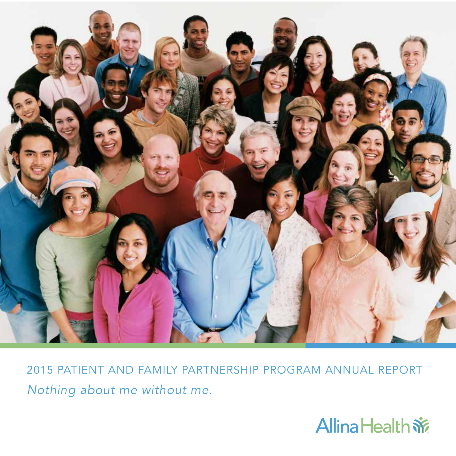

2015 PATIENT AND FAMILY PARTNERSHIP PROGRAM ANNUAL REPORT *Nothing about me without me.*

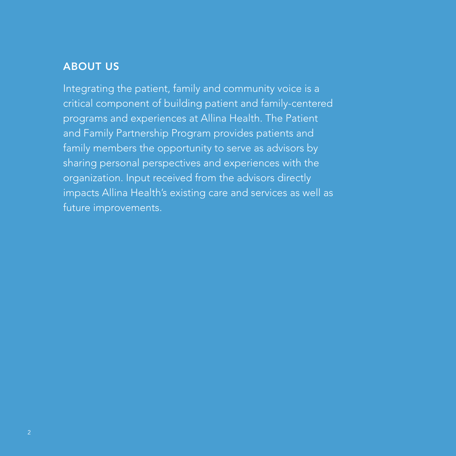#### ABOUT US

Integrating the patient, family and community voice is a critical component of building patient and family-centered programs and experiences at Allina Health. The Patient and Family Partnership Program provides patients and family members the opportunity to serve as advisors by sharing personal perspectives and experiences with the organization. Input received from the advisors directly impacts Allina Health's existing care and services as well as future improvements.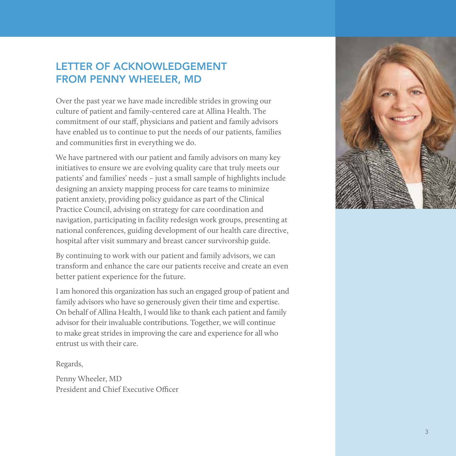#### LETTER OF ACKNOWLEDGEMENT FROM PENNY WHEELER, MD

Over the past year we have made incredible strides in growing our culture of patient and family-centered care at Allina Health. The commitment of our staff, physicians and patient and family advisors have enabled us to continue to put the needs of our patients, families and communities first in everything we do.

We have partnered with our patient and family advisors on many key initiatives to ensure we are evolving quality care that truly meets our patients' and families' needs – just a small sample of highlights include designing an anxiety mapping process for care teams to minimize patient anxiety, providing policy guidance as part of the Clinical Practice Council, advising on strategy for care coordination and navigation, participating in facility redesign work groups, presenting at national conferences, guiding development of our health care directive, hospital after visit summary and breast cancer survivorship guide.

By continuing to work with our patient and family advisors, we can transform and enhance the care our patients receive and create an even better patient experience for the future.

I am honored this organization has such an engaged group of patient and family advisors who have so generously given their time and expertise. On behalf of Allina Health, I would like to thank each patient and family advisor for their invaluable contributions. Together, we will continue to make great strides in improving the care and experience for all who entrust us with their care.

Regards,

Penny Wheeler, MD President and Chief Executive Officer

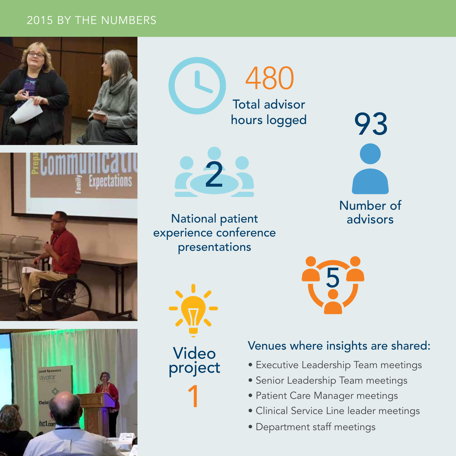#### 2015 BY THE NUMBERS









Total advisor

480

hours logged

National patient experience conference presentations





5

# Venues where insights are shared:

- Executive Leadership Team meetings
- Senior Leadership Team meetings
- Patient Care Manager meetings
- Clinical Service Line leader meetings
- Department staff meetings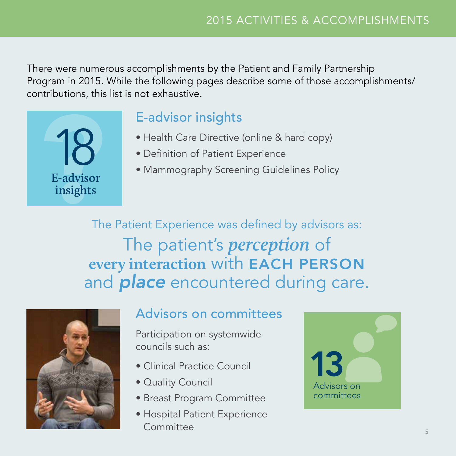There were numerous accomplishments by the Patient and Family Partnership Program in 2015. While the following pages describe some of those accomplishments/ contributions, this list is not exhaustive.

POSTAL E-advisor 18 **E-advisor insights**

# E-advisor insights

- Health Care Directive (online & hard copy)
- Definition of Patient Experience
- Mammography Screening Guidelines Policy

The Patient Experience was defined by advisors as: The patient's *perception* of **every interaction** with EACH PERSON and *place* encountered during care.



# Advisors on committees

Participation on systemwide councils such as:

- Clinical Practice Council
- Quality Council
- Breast Program Committee
- Hospital Patient Experience **Committee**

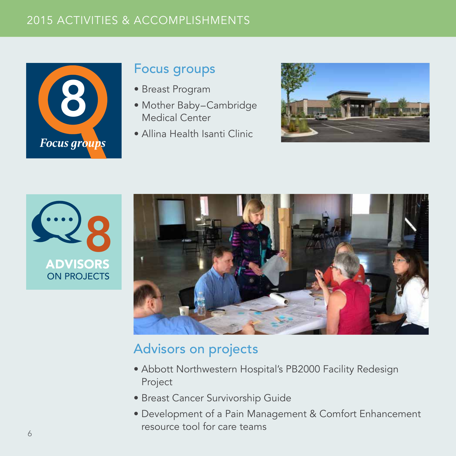## 2015 ACTIVITIES & ACCOMPLISHMENTS



# Focus groups

- Breast Program
- Mother Baby–Cambridge Medical Center
- Allina Health Isanti Clinic







# Advisors on projects

- Abbott Northwestern Hospital's PB2000 Facility Redesign Project
- Breast Cancer Survivorship Guide
- Development of a Pain Management & Comfort Enhancement resource tool for care teams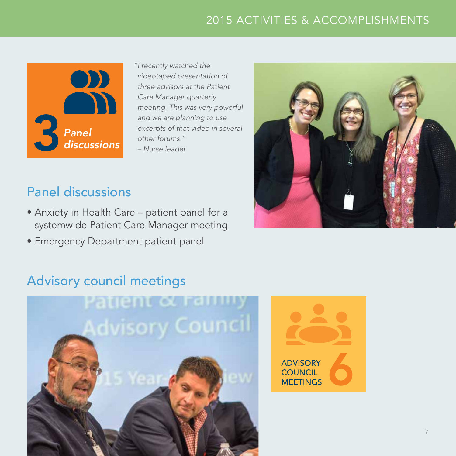## 2015 ACTIVITIES & ACCOMPLISHMENTS



*"I recently watched the videotaped presentation of three advisors at the Patient Care Manager quarterly meeting. This was very powerful and we are planning to use excerpts of that video in several other forums."* 

*– Nurse leader*



# Panel discussions

- Anxiety in Health Care patient panel for a systemwide Patient Care Manager meeting
- Emergency Department patient panel

# Advisory council meetings



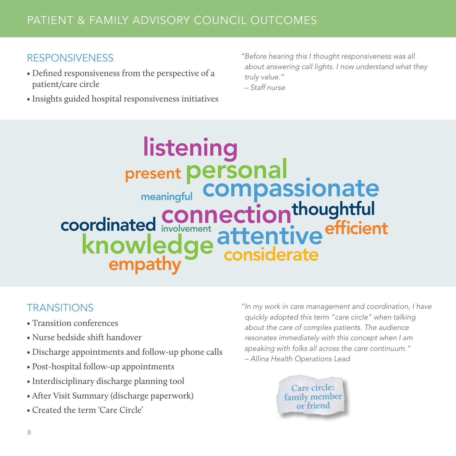#### RESPONSIVENESS

- Defined responsiveness from the perspective of a patient/care circle
- Insights guided hospital responsiveness initiatives

*"Before hearing this I thought responsiveness was all about answering call lights. I now understand what they truly value."* 

*– Staff nurse*

**listening<br><sub>esent</sub> personal compassionate crainated involvement attentive** knowledge atternuve coordinated thoughtful efficient involvement connection meaningful present personal

#### **TRANSITIONS**

- Transition conferences
- Nurse bedside shift handover
- Discharge appointments and follow-up phone calls
- Post-hospital follow-up appointments
- Interdisciplinary discharge planning tool
- After Visit Summary (discharge paperwork)
- Created the term 'Care Circle'

*"In my work in care management and coordination, I have quickly adopted this term "care circle" when talking about the care of complex patients. The audience resonates immediately with this concept when I am speaking with folks all across the care continuum." – Allina Health Operations Lead*

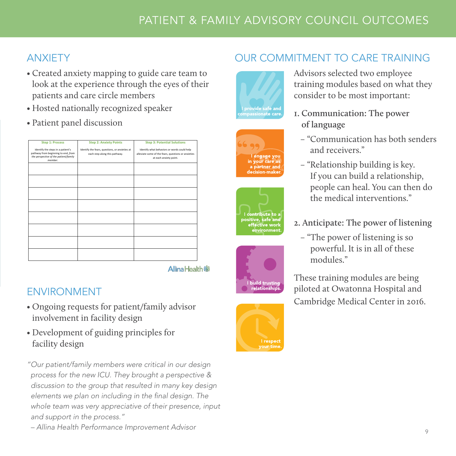### ANXIETY

- Created anxiety mapping to guide care team to look at the experience through the eyes of their patients and care circle members
- Hosted nationally recognized speaker
- Patient panel discussion

| <b>Step 1: Process</b>                                                                                                       | <b>Step 2: Anxiety Points</b>                                                   | <b>Step 3: Potential Solutions</b>                                                                                           |
|------------------------------------------------------------------------------------------------------------------------------|---------------------------------------------------------------------------------|------------------------------------------------------------------------------------------------------------------------------|
| Identify the steps in a patient's<br>pathway from beginning to end, from<br>the perspective of the patient/family<br>member. | Identify the fears, questions, or anxieties at<br>each step along this pathway. | Identify what behaviors or words could help<br>alleviate some of the fears, questions or anxieties<br>at each anxiety point. |
|                                                                                                                              |                                                                                 |                                                                                                                              |
|                                                                                                                              |                                                                                 |                                                                                                                              |
|                                                                                                                              |                                                                                 |                                                                                                                              |
|                                                                                                                              |                                                                                 |                                                                                                                              |
|                                                                                                                              |                                                                                 |                                                                                                                              |
|                                                                                                                              |                                                                                 |                                                                                                                              |
|                                                                                                                              |                                                                                 |                                                                                                                              |
|                                                                                                                              |                                                                                 |                                                                                                                              |
|                                                                                                                              |                                                                                 |                                                                                                                              |

**Allina Health Sig** 

# ENVIRONMENT

- Ongoing requests for patient/family advisor involvement in facility design
- Development of guiding principles for facility design

*"Our patient/family members were critical in our design process for the new ICU. They brought a perspective & discussion to the group that resulted in many key design elements we plan on including in the final design. The whole team was very appreciative of their presence, input and support in the process."* 











Advisors selected two employee training modules based on what they consider to be most important:

**1. Communication: The power of language**

OUR COMMITMENT TO CARE TRAINING

- "Communication has both senders and receivers."
- "Relationship building is key. If you can build a relationship, people can heal. You can then do the medical interventions."
- **2. Anticipate: The power of listening**
	- "The power of listening is so powerful. It is in all of these modules."

These training modules are being piloted at Owatonna Hospital and Cambridge Medical Center in 2016.

*– Allina Health Performance Improvement Advisor*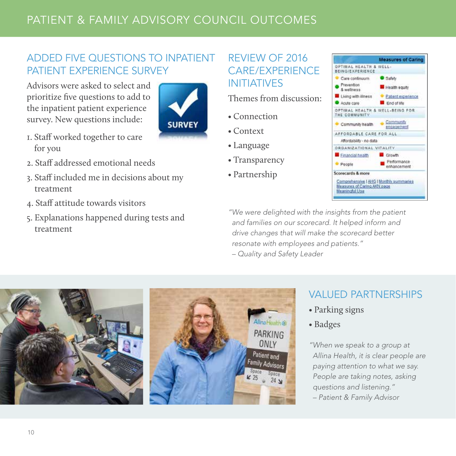# PATIENT & FAMILY ADVISORY COUNCIL OUTCOMES

#### ADDED FIVE QUESTIONS TO INPATIENT PATIENT EXPERIENCE SURVEY

Advisors were asked to select and prioritize five questions to add to the inpatient patient experience survey. New questions include:



- 1. Staff worked together to care for you
- 2. Staff addressed emotional needs
- 3. Staff included me in decisions about my treatment
- 4. Staff attitude towards visitors
- 5. Explanations happened during tests and treatment

#### REVIEW OF 2016 CARE/EXPERIENCE INITIATIVES

Themes from discussion:

- Connection
- Context
- Language
- Transparency
- Partnership



*"We were delighted with the insights from the patient and families on our scorecard. It helped inform and drive changes that will make the scorecard better resonate with employees and patients."* 

*– Quality and Safety Leader*



#### VALUED PARTNERSHIPS

- Parking signs
- Badges

*"When we speak to a group at Allina Health, it is clear people are paying attention to what we say. People are taking notes, asking questions and listening." – Patient & Family Advisor*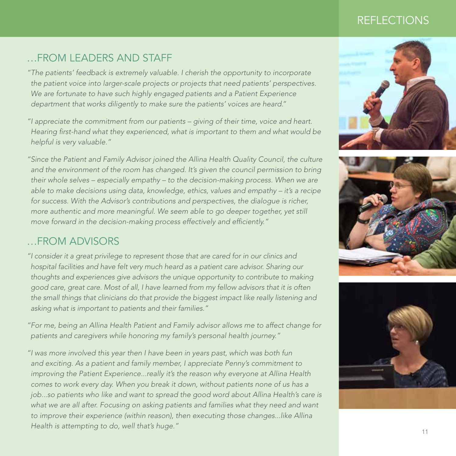#### REFLECTIONS

#### …FROM LEADERS AND STAFF

*"The patients' feedback is extremely valuable. I cherish the opportunity to incorporate the patient voice into larger-scale projects or projects that need patients' perspectives.*  We are fortunate to have such highly engaged patients and a Patient Experience *department that works diligently to make sure the patients' voices are heard."*

*"I appreciate the commitment from our patients – giving of their time, voice and heart. Hearing first-hand what they experienced, what is important to them and what would be helpful is very valuable."*

*"Since the Patient and Family Advisor joined the Allina Health Quality Council, the culture and the environment of the room has changed. It's given the council permission to bring their whole selves – especially empathy – to the decision-making process. When we are able to make decisions using data, knowledge, ethics, values and empathy – it's a recipe for success. With the Advisor's contributions and perspectives, the dialogue is richer, more authentic and more meaningful. We seem able to go deeper together, yet still move forward in the decision-making process effectively and efficiently."*

#### …FROM ADVISORS

*"I consider it a great privilege to represent those that are cared for in our clinics and hospital facilities and have felt very much heard as a patient care advisor. Sharing our thoughts and experiences give advisors the unique opportunity to contribute to making good care, great care. Most of all, I have learned from my fellow advisors that it is often the small things that clinicians do that provide the biggest impact like really listening and asking what is important to patients and their families."*

*"For me, being an Allina Health Patient and Family advisor allows me to affect change for patients and caregivers while honoring my family's personal health journey."*

*"I was more involved this year then I have been in years past, which was both fun and exciting. As a patient and family member, I appreciate Penny's commitment to improving the Patient Experience...really it's the reason why everyone at Allina Health comes to work every day. When you break it down, without patients none of us has a job...so patients who like and want to spread the good word about Allina Health's care is* what we are all after. Focusing on asking patients and families what they need and want *to improve their experience (within reason), then executing those changes...like Allina Health is attempting to do, well that's huge."*